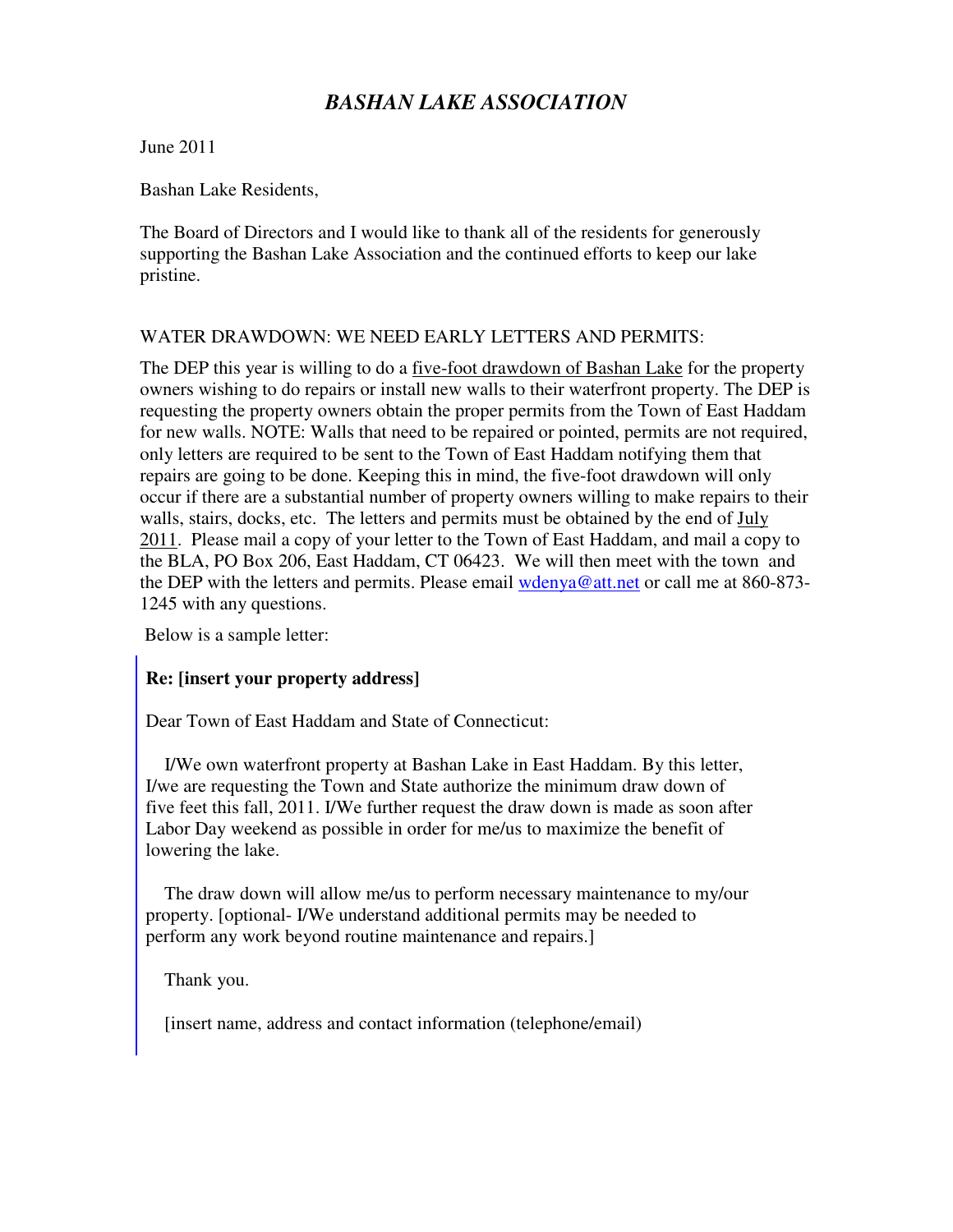# *BASHAN LAKE ASSOCIATION*

June 2011

Bashan Lake Residents,

The Board of Directors and I would like to thank all of the residents for generously supporting the Bashan Lake Association and the continued efforts to keep our lake pristine.

# WATER DRAWDOWN: WE NEED EARLY LETTERS AND PERMITS:

The DEP this year is willing to do a <u>five-foot drawdown of Bashan</u> Lake for the property owners wishing to do repairs or install new walls to their waterfront property. The DEP is requesting the property owners obtain the proper permits from the Town of East Haddam for new walls. NOTE: Walls that need to be repaired or pointed, permits are not required, only letters are required to be sent to the Town of East Haddam notifying them that repairs are going to be done. Keeping this in mind, the five-foot drawdown will only occur if there are a substantial number of property owners willing to make repairs to their walls, stairs, docks, etc. The letters and permits must be obtained by the end of July 2011. Please mail a copy of your letter to the Town of East Haddam, and mail a copy to the BLA, PO Box 206, East Haddam, CT 06423. We will then meet with the town and the DEP with the letters and permits. Please email wdenya@att.net or call me at 860-873-1245 with any questions.

Below is a sample letter:

# **Re: [insert your property address]**

Dear Town of East Haddam and State of Connecticut:

 I/We own waterfront property at Bashan Lake in East Haddam. By this letter, I/we are requesting the Town and State authorize the minimum draw down of five feet this fall, 2011. I/We further request the draw down is made as soon after Labor Day weekend as possible in order for me/us to maximize the benefit of lowering the lake.

 The draw down will allow me/us to perform necessary maintenance to my/our property. [optional- I/We understand additional permits may be needed to perform any work beyond routine maintenance and repairs.]

Thank you.

[insert name, address and contact information (telephone/email)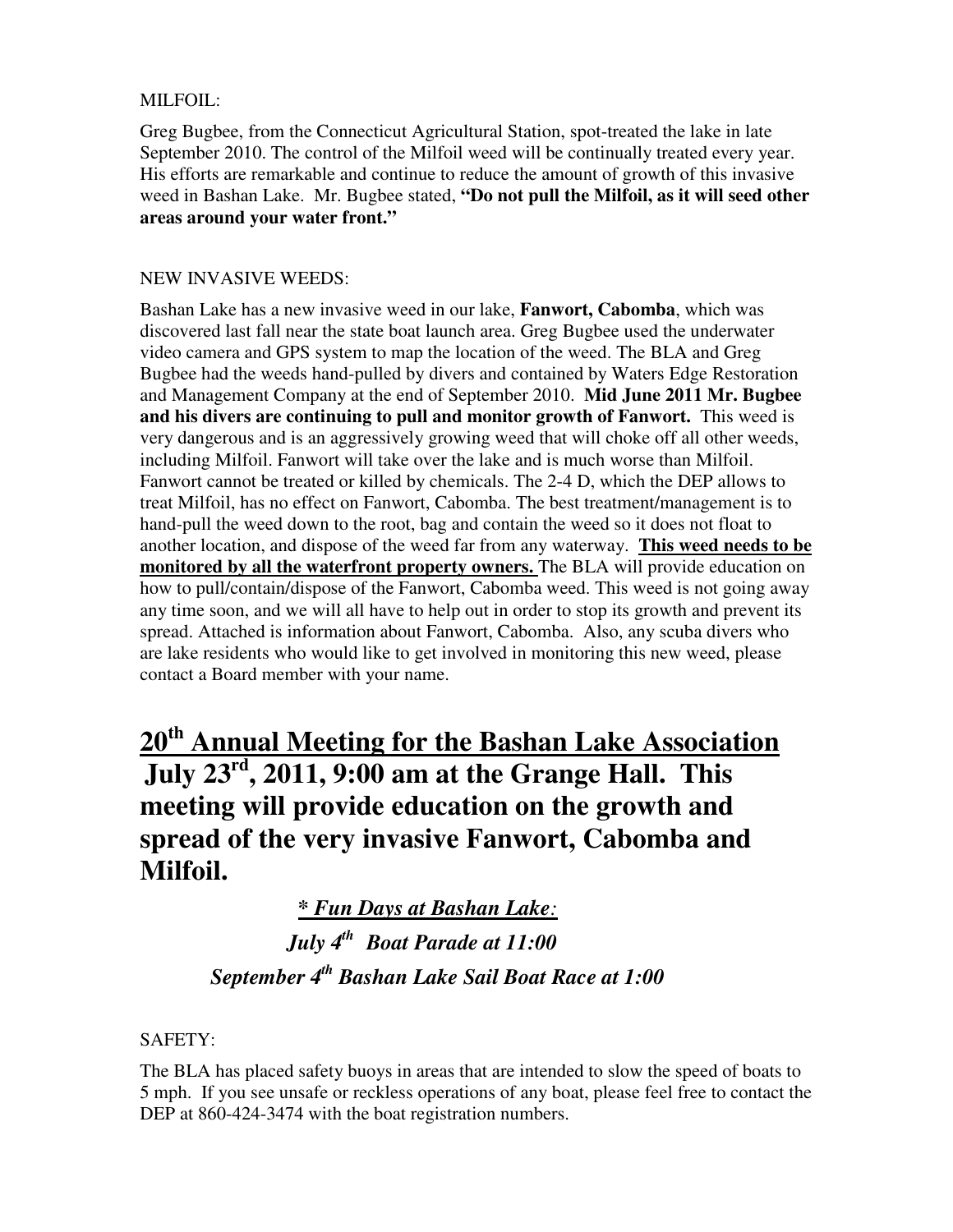# MILFOIL:

Greg Bugbee, from the Connecticut Agricultural Station, spot-treated the lake in late September 2010. The control of the Milfoil weed will be continually treated every year. His efforts are remarkable and continue to reduce the amount of growth of this invasive weed in Bashan Lake. Mr. Bugbee stated, **"Do not pull the Milfoil, as it will seed other areas around your water front."** 

# NEW INVASIVE WEEDS:

Bashan Lake has a new invasive weed in our lake, **Fanwort, Cabomba**, which was discovered last fall near the state boat launch area. Greg Bugbee used the underwater video camera and GPS system to map the location of the weed. The BLA and Greg Bugbee had the weeds hand-pulled by divers and contained by Waters Edge Restoration and Management Company at the end of September 2010. **Mid June 2011 Mr. Bugbee and his divers are continuing to pull and monitor growth of Fanwort.** This weed is very dangerous and is an aggressively growing weed that will choke off all other weeds, including Milfoil. Fanwort will take over the lake and is much worse than Milfoil. Fanwort cannot be treated or killed by chemicals. The 2-4 D, which the DEP allows to treat Milfoil, has no effect on Fanwort, Cabomba. The best treatment/management is to hand-pull the weed down to the root, bag and contain the weed so it does not float to another location, and dispose of the weed far from any waterway. **This weed needs to be monitored by all the waterfront property owners.** The BLA will provide education on how to pull/contain/dispose of the Fanwort, Cabomba weed. This weed is not going away any time soon, and we will all have to help out in order to stop its growth and prevent its spread. Attached is information about Fanwort, Cabomba. Also, any scuba divers who are lake residents who would like to get involved in monitoring this new weed, please contact a Board member with your name.

**20th Annual Meeting for the Bashan Lake Association July 23rd, 2011, 9:00 am at the Grange Hall. This meeting will provide education on the growth and spread of the very invasive Fanwort, Cabomba and Milfoil.** 

# *\* Fun Days at Bashan Lake:*  *July 4th Boat Parade at 11:00 September 4th Bashan Lake Sail Boat Race at 1:00*

SAFETY:

The BLA has placed safety buoys in areas that are intended to slow the speed of boats to 5 mph. If you see unsafe or reckless operations of any boat, please feel free to contact the DEP at 860-424-3474 with the boat registration numbers.